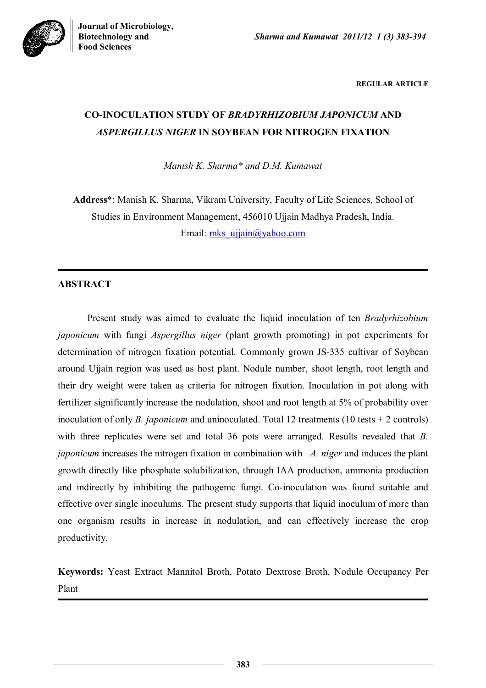

**REGULAR ARTICLE**

# **CO-INOCULATION STUDY OF** *BRADYRHIZOBIUM JAPONICUM* **AND**  *ASPERGILLUS NIGER* **IN SOYBEAN FOR NITROGEN FIXATION**

*Manish K. Sharma\* and D.M. Kumawat* 

**Address**\*: Manish K. Sharma, Vikram University, Faculty of Life Sciences, School of Studies in Environment Management, 456010 Ujjain Madhya Pradesh, India. Email: mks ujjain@yahoo.com

# **ABSTRACT**

Present study was aimed to evaluate the liquid inoculation of ten *Bradyrhizobium japonicum* with fungi *Aspergillus niger* (plant growth promoting) in pot experiments for determination of nitrogen fixation potential. Commonly grown JS-335 cultivar of Soybean around Ujjain region was used as host plant. Nodule number, shoot length, root length and their dry weight were taken as criteria for nitrogen fixation. Inoculation in pot along with fertilizer significantly increase the nodulation, shoot and root length at 5% of probability over inoculation of only *B. japonicum* and uninoculated. Total 12 treatments (10 tests + 2 controls) with three replicates were set and total 36 pots were arranged. Results revealed that *B. japonicum* increases the nitrogen fixation in combination with *A. niger* and induces the plant growth directly like phosphate solubilization, through IAA production, ammonia production and indirectly by inhibiting the pathogenic fungi. Co-inoculation was found suitable and effective over single inoculums. The present study supports that liquid inoculum of more than one organism results in increase in nodulation, and can effectively increase the crop productivity.

**Keywords:** Yeast Extract Mannitol Broth, Potato Dextrose Broth, Nodule Occupancy Per Plant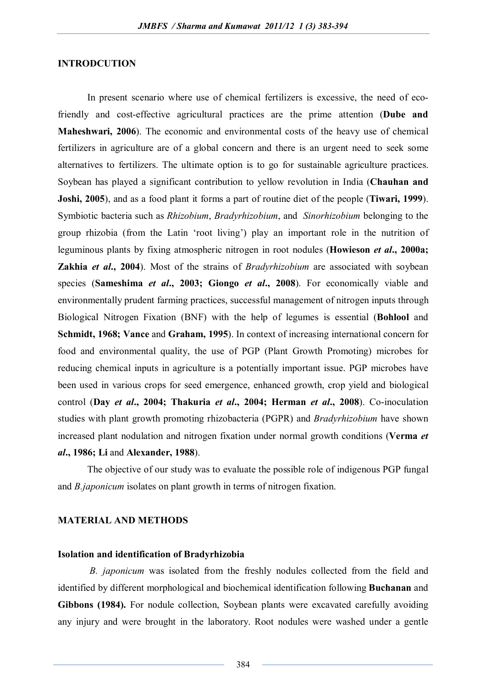#### **INTRODCUTION**

In present scenario where use of chemical fertilizers is excessive, the need of ecofriendly and cost-effective agricultural practices are the prime attention (**Dube and Maheshwari, 2006**). The economic and environmental costs of the heavy use of chemical fertilizers in agriculture are of a global concern and there is an urgent need to seek some alternatives to fertilizers. The ultimate option is to go for sustainable agriculture practices. Soybean has played a significant contribution to yellow revolution in India (**Chauhan and Joshi, 2005**), and as a food plant it forms a part of routine diet of the people (**Tiwari, 1999**). Symbiotic bacteria such as *Rhizobium*, *Bradyrhizobium*, and *Sinorhizobium* belonging to the group rhizobia (from the Latin 'root living') play an important role in the nutrition of leguminous plants by fixing atmospheric nitrogen in root nodules (**Howieson** *et al***., 2000a; Zakhia** *et al***., 2004**). Most of the strains of *Bradyrhizobium* are associated with soybean species (**Sameshima** *et al***., 2003; Giongo** *et al***., 2008**). For economically viable and environmentally prudent farming practices, successful management of nitrogen inputs through Biological Nitrogen Fixation (BNF) with the help of legumes is essential (**Bohlool** and **Schmidt, 1968; Vance** and **Graham, 1995**). In context of increasing international concern for food and environmental quality, the use of PGP (Plant Growth Promoting) microbes for reducing chemical inputs in agriculture is a potentially important issue. PGP microbes have been used in various crops for seed emergence, enhanced growth, crop yield and biological control (**Day** *et al***., 2004; Thakuria** *et al***., 2004; Herman** *et al***., 2008**). Co-inoculation studies with plant growth promoting rhizobacteria (PGPR) and *Bradyrhizobium* have shown increased plant nodulation and nitrogen fixation under normal growth conditions (**Verma** *et al***., 1986; Li** and **Alexander, 1988**).

The objective of our study was to evaluate the possible role of indigenous PGP fungal and *B.japonicum* isolates on plant growth in terms of nitrogen fixation.

#### **MATERIAL AND METHODS**

#### **Isolation and identification of Bradyrhizobia**

*B. japonicum* was isolated from the freshly nodules collected from the field and identified by different morphological and biochemical identification following **Buchanan** and **Gibbons (1984).** For nodule collection, Soybean plants were excavated carefully avoiding any injury and were brought in the laboratory. Root nodules were washed under a gentle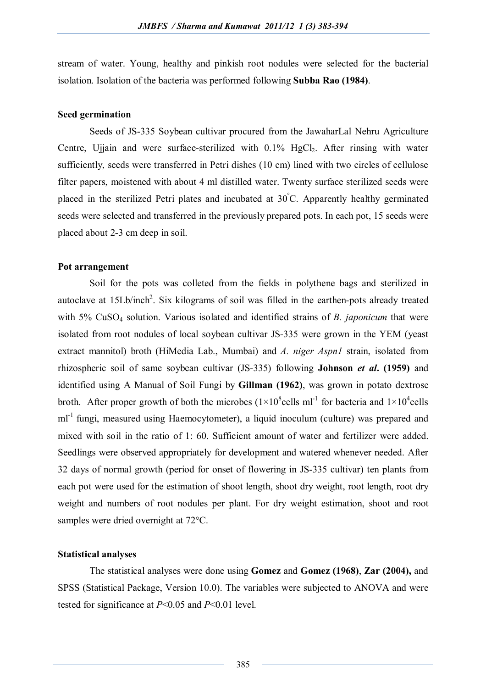stream of water. Young, healthy and pinkish root nodules were selected for the bacterial isolation. Isolation of the bacteria was performed following **Subba Rao (1984)**.

#### **Seed germination**

Seeds of JS-335 Soybean cultivar procured from the JawaharLal Nehru Agriculture Centre, Ujiain and were surface-sterilized with  $0.1\%$  HgCl<sub>2</sub>. After rinsing with water sufficiently, seeds were transferred in Petri dishes (10 cm) lined with two circles of cellulose filter papers, moistened with about 4 ml distilled water. Twenty surface sterilized seeds were placed in the sterilized Petri plates and incubated at 30°C. Apparently healthy germinated seeds were selected and transferred in the previously prepared pots. In each pot, 15 seeds were placed about 2-3 cm deep in soil.

#### **Pot arrangement**

Soil for the pots was colleted from the fields in polythene bags and sterilized in autoclave at  $15Lb/inch^2$ . Six kilograms of soil was filled in the earthen-pots already treated with 5% CuSO<sup>4</sup> solution. Various isolated and identified strains of *B. japonicum* that were isolated from root nodules of local soybean cultivar JS-335 were grown in the YEM (yeast extract mannitol) broth (HiMedia Lab., Mumbai) and *A. niger Aspn1* strain, isolated from rhizospheric soil of same soybean cultivar (JS-335) following **Johnson** *et al***. (1959)** and identified using A Manual of Soil Fungi by **Gillman (1962)**, was grown in potato dextrose broth. After proper growth of both the microbes  $(1 \times 10^8$ cells ml<sup>-1</sup> for bacteria and  $1 \times 10^4$ cells ml<sup>-1</sup> fungi, measured using Haemocytometer), a liquid inoculum (culture) was prepared and mixed with soil in the ratio of 1: 60. Sufficient amount of water and fertilizer were added. Seedlings were observed appropriately for development and watered whenever needed. After 32 days of normal growth (period for onset of flowering in JS-335 cultivar) ten plants from each pot were used for the estimation of shoot length, shoot dry weight, root length, root dry weight and numbers of root nodules per plant. For dry weight estimation, shoot and root samples were dried overnight at 72°C.

#### **Statistical analyses**

The statistical analyses were done using **Gomez** and **Gomez (1968)**, **Zar (2004),** and SPSS (Statistical Package, Version 10.0). The variables were subjected to ANOVA and were tested for significance at *P*<0.05 and *P*<0.01 level.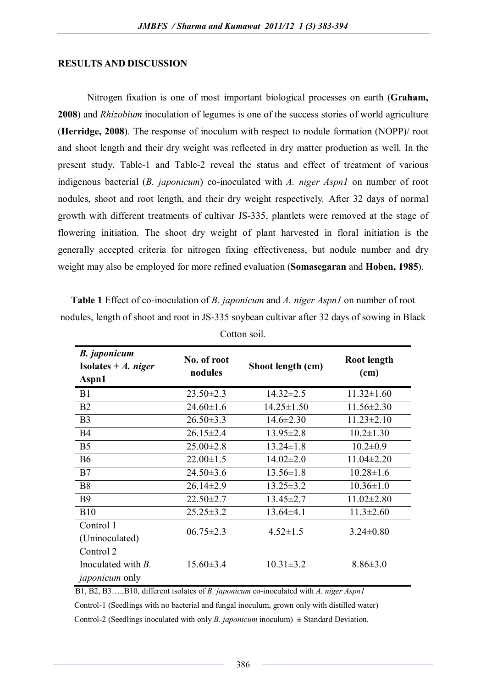#### **RESULTS AND DISCUSSION**

Nitrogen fixation is one of most important biological processes on earth (**Graham, 2008**) and *Rhizobium* inoculation of legumes is one of the success stories of world agriculture (**Herridge, 2008**). The response of inoculum with respect to nodule formation (NOPP)/ root and shoot length and their dry weight was reflected in dry matter production as well. In the present study, Table-1 and Table-2 reveal the status and effect of treatment of various indigenous bacterial (*B. japonicum*) co-inoculated with *A. niger Aspn1* on number of root nodules, shoot and root length, and their dry weight respectively*.* After 32 days of normal growth with different treatments of cultivar JS-335, plantlets were removed at the stage of flowering initiation. The shoot dry weight of plant harvested in floral initiation is the generally accepted criteria for nitrogen fixing effectiveness, but nodule number and dry weight may also be employed for more refined evaluation (**Somasegaran** and **Hoben, 1985**).

**Table 1** Effect of co-inoculation of *B. japonicum* and *A. niger Aspn1* on number of root nodules, length of shoot and root in JS-335 soybean cultivar after 32 days of sowing in Black

| <b>B.</b> japonicum<br>Isolates + $\boldsymbol{A}$ . niger<br>Aspn1 | No. of root<br>nodules | Shoot length (cm) | Root length<br>(cm) |
|---------------------------------------------------------------------|------------------------|-------------------|---------------------|
| B1                                                                  | $23.50 \pm 2.3$        | $14.32 \pm 2.5$   | $11.32 \pm 1.60$    |
| B <sub>2</sub>                                                      | $24.60 \pm 1.6$        | $14.25 \pm 1.50$  | $11.56 \pm 2.30$    |
| B <sub>3</sub>                                                      | $26.50 \pm 3.3$        | $14.6 \pm 2.30$   | $11.23 \pm 2.10$    |
| <b>B4</b>                                                           | $26.15 \pm 2.4$        | $13.95 \pm 2.8$   | $10.2 \pm 1.30$     |
| B <sub>5</sub>                                                      | $25.00 \pm 2.8$        | $13.24 \pm 1.8$   | $10.2 \pm 0.9$      |
| <b>B6</b>                                                           | $22.00 \pm 1.5$        | $14.02 \pm 2.0$   | $11.04 \pm 2.20$    |
| B7                                                                  | $24.50 \pm 3.6$        | $13.56 \pm 1.8$   | $10.28 \pm 1.6$     |
| <b>B8</b>                                                           | $26.14 \pm 2.9$        | $13.25 \pm 3.2$   | $10.36 \pm 1.0$     |
| <b>B9</b>                                                           | $22.50 \pm 2.7$        | $13.45 \pm 2.7$   | $11.02 \pm 2.80$    |
| <b>B10</b>                                                          | $25.25 \pm 3.2$        | $13.64\pm4.1$     | $11.3 \pm 2.60$     |
| Control 1                                                           | $06.75 \pm 2.3$        | $4.52 \pm 1.5$    | $3.24 \pm 0.80$     |
| (Uninoculated)                                                      |                        |                   |                     |
| Control 2                                                           |                        |                   |                     |
| Inoculated with $B$ .                                               | $15.60 \pm 3.4$        | $10.31 \pm 3.2$   | $8.86 \pm 3.0$      |
| <i>japonicum</i> only                                               |                        |                   |                     |

Cotton soil.

B1, B2, B3…..B10, different isolates of *B. japonicum* co-inoculated with *A. niger Aspn1*

Control-1 (Seedlings with no bacterial and fungal inoculum, grown only with distilled water)

Control-2 (Seedlings inoculated with only *B. japonicum* inoculum)  $\pm$  Standard Deviation.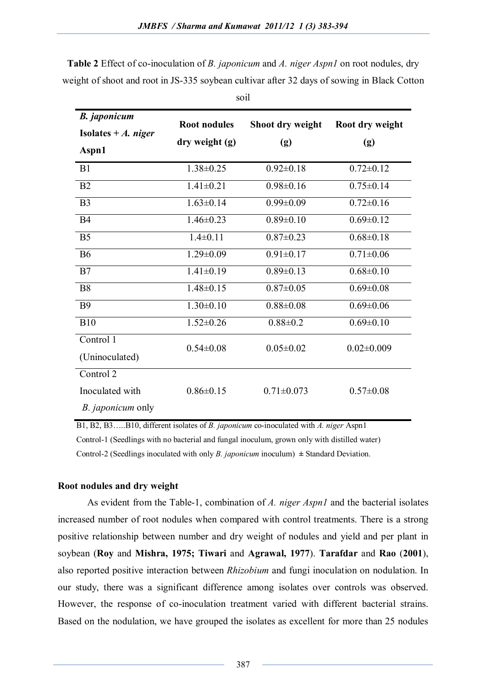| <b>B.</b> japonicum      | <b>Root nodules</b> | Shoot dry weight | Root dry weight  |
|--------------------------|---------------------|------------------|------------------|
| Isolates $+A$ . niger    |                     |                  |                  |
| Aspn1                    | dry weight (g)      | (g)              | (g)              |
| B1                       | $1.38 \pm 0.25$     | $0.92 \pm 0.18$  | $0.72 \pm 0.12$  |
| B2                       | $1.41 \pm 0.21$     | $0.98 \pm 0.16$  | $0.75 \pm 0.14$  |
| B <sub>3</sub>           | $1.63 \pm 0.14$     | $0.99 \pm 0.09$  | $0.72 \pm 0.16$  |
| <b>B4</b>                | $1.46 \pm 0.23$     | $0.89 \pm 0.10$  | $0.69 \pm 0.12$  |
| B <sub>5</sub>           | $1.4 \pm 0.11$      | $0.87 \pm 0.23$  | $0.68 \pm 0.18$  |
| <b>B6</b>                | $1.29 \pm 0.09$     | $0.91 \pm 0.17$  | $0.71 \pm 0.06$  |
| B7                       | $1.41 \pm 0.19$     | $0.89 \pm 0.13$  | $0.68 \pm 0.10$  |
| <b>B8</b>                | $1.48 \pm 0.15$     | $0.87 \pm 0.05$  | $0.69 \pm 0.08$  |
| <b>B9</b>                | $1.30 \pm 0.10$     | $0.88 \pm 0.08$  | $0.69 \pm 0.06$  |
| <b>B10</b>               | $1.52 \pm 0.26$     | $0.88 \pm 0.2$   | $0.69 \pm 0.10$  |
| Control 1                | $0.54 \pm 0.08$     | $0.05 \pm 0.02$  | $0.02 \pm 0.009$ |
| (Uninoculated)           |                     |                  |                  |
| Control 2                |                     |                  |                  |
| Inoculated with          | $0.86 \pm 0.15$     | $0.71 \pm 0.073$ | $0.57 \pm 0.08$  |
| <i>B. japonicum</i> only |                     |                  |                  |

**Table 2** Effect of co-inoculation of *B. japonicum* and *A. niger Aspn1* on root nodules, dry weight of shoot and root in JS-335 soybean cultivar after 32 days of sowing in Black Cotton

soil

 B1, B2, B3…..B10, different isolates of *B. japonicum* co-inoculated with *A. niger* Aspn1 Control-1 (Seedlings with no bacterial and fungal inoculum, grown only with distilled water) Control-2 (Seedlings inoculated with only *B. japonicum* inoculum)  $\pm$  Standard Deviation.

#### **Root nodules and dry weight**

As evident from the Table-1, combination of *A. niger Aspn1* and the bacterial isolates increased number of root nodules when compared with control treatments. There is a strong positive relationship between number and dry weight of nodules and yield and per plant in soybean (**Roy** and **Mishra, 1975; Tiwari** and **Agrawal, 1977**). **Tarafdar** and **Rao** (**2001**), also reported positive interaction between *Rhizobium* and fungi inoculation on nodulation. In our study, there was a significant difference among isolates over controls was observed. However, the response of co-inoculation treatment varied with different bacterial strains. Based on the nodulation, we have grouped the isolates as excellent for more than 25 nodules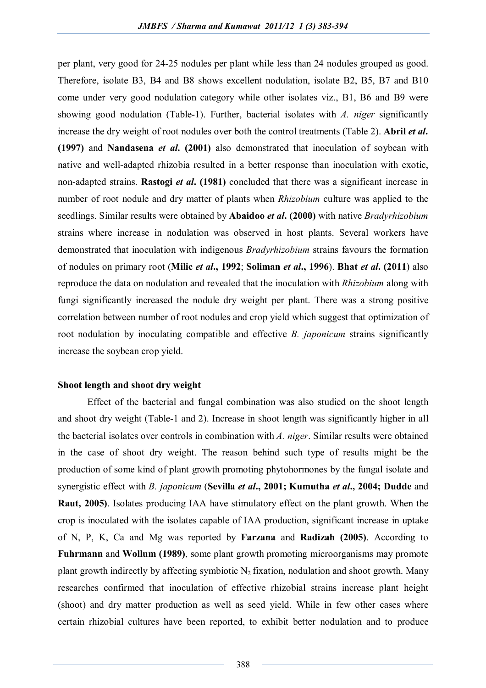per plant, very good for 24-25 nodules per plant while less than 24 nodules grouped as good. Therefore, isolate B3, B4 and B8 shows excellent nodulation, isolate B2, B5, B7 and B10 come under very good nodulation category while other isolates viz., B1, B6 and B9 were showing good nodulation (Table-1). Further, bacterial isolates with *A. niger* significantly increase the dry weight of root nodules over both the control treatments (Table 2). **Abril** *et al***. (1997)** and **Nandasena** *et al***. (2001)** also demonstrated that inoculation of soybean with native and well-adapted rhizobia resulted in a better response than inoculation with exotic, non-adapted strains. **Rastogi** *et al***. (1981)** concluded that there was a significant increase in number of root nodule and dry matter of plants when *Rhizobium* culture was applied to the seedlings. Similar results were obtained by **Abaidoo** *et al***. (2000)** with native *Bradyrhizobium*  strains where increase in nodulation was observed in host plants. Several workers have demonstrated that inoculation with indigenous *Bradyrhizobium* strains favours the formation of nodules on primary root (**Milic** *et al***., 1992**; **Soliman** *et al***., 1996**). **Bhat** *et al***. (2011**) also reproduce the data on nodulation and revealed that the inoculation with *Rhizobium* along with fungi significantly increased the nodule dry weight per plant. There was a strong positive correlation between number of root nodules and crop yield which suggest that optimization of root nodulation by inoculating compatible and effective *B. japonicum* strains significantly increase the soybean crop yield.

#### **Shoot length and shoot dry weight**

Effect of the bacterial and fungal combination was also studied on the shoot length and shoot dry weight (Table-1 and 2). Increase in shoot length was significantly higher in all the bacterial isolates over controls in combination with *A. niger*. Similar results were obtained in the case of shoot dry weight. The reason behind such type of results might be the production of some kind of plant growth promoting phytohormones by the fungal isolate and synergistic effect with *B. japonicum* (**Sevilla** *et al***., 2001; Kumutha** *et al***., 2004; Dudde** and **Raut, 2005)**. Isolates producing IAA have stimulatory effect on the plant growth. When the crop is inoculated with the isolates capable of IAA production, significant increase in uptake of N, P, K, Ca and Mg was reported by **Farzana** and **Radizah (2005)**. According to **Fuhrmann** and **Wollum (1989)**, some plant growth promoting microorganisms may promote plant growth indirectly by affecting symbiotic  $N_2$  fixation, nodulation and shoot growth. Many researches confirmed that inoculation of effective rhizobial strains increase plant height (shoot) and dry matter production as well as seed yield. While in few other cases where certain rhizobial cultures have been reported, to exhibit better nodulation and to produce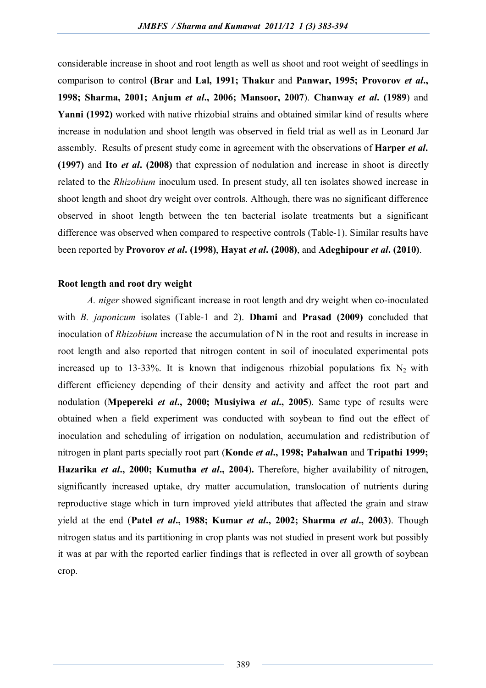considerable increase in shoot and root length as well as shoot and root weight of seedlings in comparison to control **(Brar** and **Lal, 1991; Thakur** and **Panwar, 1995; Provorov** *et al***., 1998; Sharma, 2001; Anjum** *et al***., 2006; Mansoor, 2007**). **Chanway** *et al***. (1989**) and **Yanni (1992)** worked with native rhizobial strains and obtained similar kind of results where increase in nodulation and shoot length was observed in field trial as well as in Leonard Jar assembly. Results of present study come in agreement with the observations of **Harper** *et al***. (1997)** and **Ito** *et al***. (2008)** that expression of nodulation and increase in shoot is directly related to the *Rhizobium* inoculum used. In present study, all ten isolates showed increase in shoot length and shoot dry weight over controls. Although, there was no significant difference observed in shoot length between the ten bacterial isolate treatments but a significant difference was observed when compared to respective controls (Table-1). Similar results have been reported by **Provorov** *et al***. (1998)**, **Hayat** *et al***. (2008)**, and **Adeghipour** *et al***. (2010)**.

#### **Root length and root dry weight**

*A. niger* showed significant increase in root length and dry weight when co-inoculated with *B. japonicum* isolates (Table-1 and 2). **Dhami** and **Prasad (2009)** concluded that inoculation of *Rhizobium* increase the accumulation of N in the root and results in increase in root length and also reported that nitrogen content in soil of inoculated experimental pots increased up to 13-33%. It is known that indigenous rhizobial populations fix  $N_2$  with different efficiency depending of their density and activity and affect the root part and nodulation (**Mpepereki** *et al***., 2000; Musiyiwa** *et al***., 2005**). Same type of results were obtained when a field experiment was conducted with soybean to find out the effect of inoculation and scheduling of irrigation on nodulation, accumulation and redistribution of nitrogen in plant parts specially root part (**Konde** *et al***., 1998; Pahalwan** and **Tripathi 1999; Hazarika** *et al***., 2000; Kumutha** *et al***., 2004**)**.** Therefore, higher availability of nitrogen, significantly increased uptake, dry matter accumulation, translocation of nutrients during reproductive stage which in turn improved yield attributes that affected the grain and straw yield at the end (**Patel** *et al***., 1988; Kumar** *et al***., 2002; Sharma** *et al***., 2003**). Though nitrogen status and its partitioning in crop plants was not studied in present work but possibly it was at par with the reported earlier findings that is reflected in over all growth of soybean crop.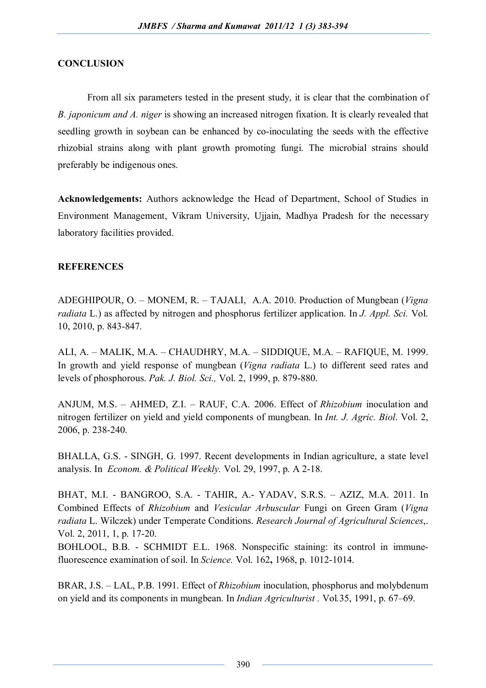## **CONCLUSION**

From all six parameters tested in the present study, it is clear that the combination of *B. japonicum and A. niger* is showing an increased nitrogen fixation. It is clearly revealed that seedling growth in soybean can be enhanced by co-inoculating the seeds with the effective rhizobial strains along with plant growth promoting fungi. The microbial strains should preferably be indigenous ones.

**Acknowledgements:** Authors acknowledge the Head of Department, School of Studies in Environment Management, Vikram University, Ujjain, Madhya Pradesh for the necessary laboratory facilities provided.

### **REFERENCES**

ADEGHIPOUR, O. – MONEM, R. – TAJALI, A.A. 2010. Production of Mungbean (*Vigna radiata* L.) as affected by nitrogen and phosphorus fertilizer application. In *J. Appl. Sci.* Vol. 10, 2010, p. 843-847.

ALI, A. – MALIK, M.A. – CHAUDHRY, M.A. – SIDDIQUE, M.A. – RAFIQUE, M. 1999. In growth and yield response of mungbean (*Vigna radiata* L.) to different seed rates and levels of phosphorous. *Pak. J. Biol. Sci.,* Vol. 2, 1999, p. 879-880.

ANJUM, M.S. – AHMED, Z.I. – RAUF, C.A. 2006. Effect of *Rhizobium* inoculation and nitrogen fertilizer on yield and yield components of mungbean. In *Int. J. Agric. Biol*. Vol. 2, 2006, p. 238-240.

BHALLA, G.S. - SINGH, G. 1997. Recent developments in Indian agriculture, a state level analysis. In *Econom. & Political Weekly.* Vol. 29, 1997, p. A 2-18.

BHAT, M.I. - BANGROO, S.A. - TAHIR, A.- YADAV, S.R.S. – AZIZ, M.A. 2011. In Combined Effects of *Rhizobium* and *Vesicular Arbuscular* Fungi on Green Gram (*Vigna radiata* L. Wilczek) under Temperate Conditions. *Research Journal of Agricultural Sciences*,. Vol. 2, 2011, 1, p. 17-20.

BOHLOOL, B.B. - SCHMIDT E.L. 1968. Nonspecific staining: its control in immunefluorescence examination of soil. In *Science.* Vol. 162**,** 1968, p. 1012-1014.

BRAR, J.S. – LAL, P.B. 1991. Effect of *Rhizobium* inoculation, phosphorus and molybdenum on yield and its components in mungbean. In *Indian Agriculturist .* Vol*.*35, 1991, p. 67–69.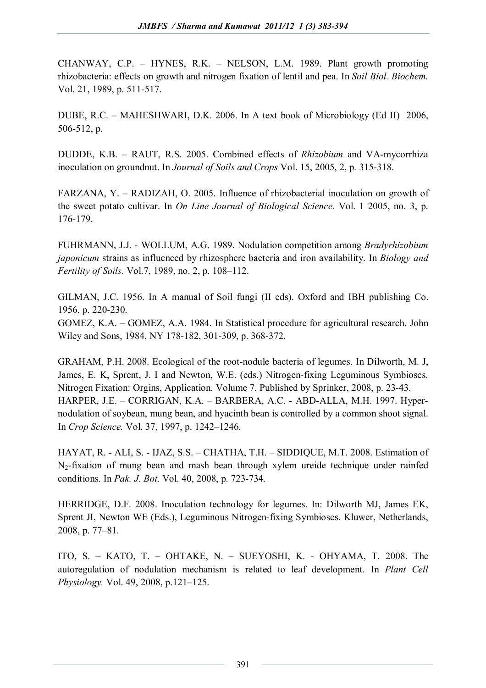CHANWAY, C.P. – HYNES, R.K. – NELSON, L.M. 1989. Plant growth promoting rhizobacteria: effects on growth and nitrogen fixation of lentil and pea. In *Soil Biol. Biochem.*  Vol. 21, 1989, p. 511-517.

DUBE, R.C. – MAHESHWARI, D.K. 2006. In A text book of Microbiology (Ed II) 2006, 506-512, p.

DUDDE, K.B. – RAUT, R.S. 2005. Combined effects of *Rhizobium* and VA-mycorrhiza inoculation on groundnut. In *Journal of Soils and Crops* Vol. 15, 2005, 2, p. 315-318.

FARZANA, Y. – RADIZAH, O. 2005. Influence of rhizobacterial inoculation on growth of the sweet potato cultivar. In *On Line Journal of Biological Science.* Vol. 1 2005, no. 3, p. 176-179.

FUHRMANN, J.J. - WOLLUM, A.G. 1989. Nodulation competition among *Bradyrhizobium japonicum* strains as influenced by rhizosphere bacteria and iron availability. In *Biology and Fertility of Soils.* Vol.7, 1989, no. 2, p. 108–112.

GILMAN, J.C. 1956. In A manual of Soil fungi (II eds). Oxford and IBH publishing Co. 1956, p. 220-230.

GOMEZ, K.A. – GOMEZ, A.A. 1984. In Statistical procedure for agricultural research. John Wiley and Sons, 1984, NY 178-182, 301-309, p. 368-372.

GRAHAM, P.H. 2008. Ecological of the root-nodule bacteria of legumes. In Dilworth, M. J, James, E. K, Sprent, J. I and Newton, W.E. (eds.) Nitrogen-fixing Leguminous Symbioses. Nitrogen Fixation: Orgins, Application. Volume 7. Published by Sprinker, 2008, p. 23-43. HARPER, J.E. – CORRIGAN, K.A. – BARBERA, A.C. - ABD-ALLA, M.H. 1997. Hypernodulation of soybean, mung bean, and hyacinth bean is controlled by a common shoot signal. In *Crop Science.* Vol. 37, 1997, p. 1242–1246.

HAYAT, R. - ALI, S. - IJAZ, S.S. – CHATHA, T.H. – SIDDIQUE, M.T. 2008. Estimation of N2-fixation of mung bean and mash bean through xylem ureide technique under rainfed conditions. In *Pak. J. Bot*. Vol. 40, 2008, p. 723-734.

HERRIDGE, D.F. 2008. Inoculation technology for legumes. In: Dilworth MJ, James EK, Sprent JI, Newton WE (Eds.), Leguminous Nitrogen-fixing Symbioses. Kluwer, Netherlands, 2008, p. 77–81.

ITO, S. – KATO, T. – OHTAKE, N. – SUEYOSHI, K. - OHYAMA, T. 2008. The autoregulation of nodulation mechanism is related to leaf development. In *Plant Cell Physiology.* Vol. 49, 2008, p.121–125.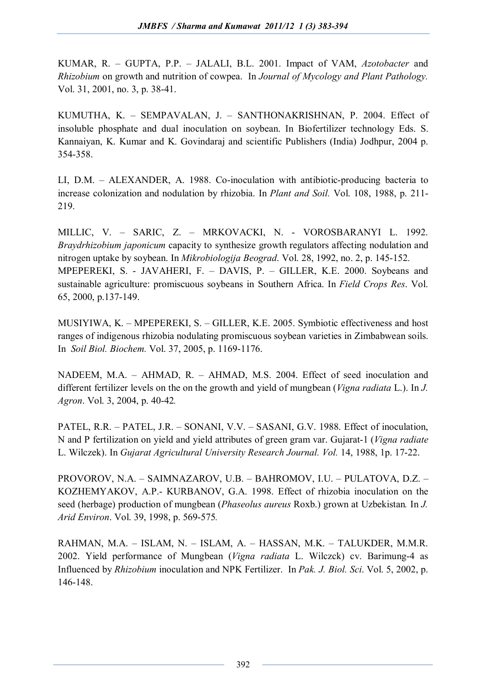KUMAR, R. – GUPTA, P.P. – JALALI, B.L. 2001. Impact of VAM, *Azotobacter* and *Rhizobium* on growth and nutrition of cowpea. In *Journal of Mycology and Plant Pathology.*  Vol. 31, 2001, no. 3, p. 38-41.

KUMUTHA, K. – SEMPAVALAN, J. – SANTHONAKRISHNAN, P. 2004. Effect of insoluble phosphate and dual inoculation on soybean. In Biofertilizer technology Eds. S. Kannaiyan, K. Kumar and K. Govindaraj and scientific Publishers (India) Jodhpur, 2004 p. 354-358.

LI, D.M. – ALEXANDER, A. 1988. Co-inoculation with antibiotic-producing bacteria to increase colonization and nodulation by rhizobia. In *Plant and Soil.* Vol. 108, 1988, p. 211- 219.

MILLIC, V. – SARIC, Z. – MRKOVACKI, N. - VOROSBARANYI L. 1992. *Braydrhizobium japonicum* capacity to synthesize growth regulators affecting nodulation and nitrogen uptake by soybean. In *Mikrobiologija Beograd*. Vol. 28, 1992, no. 2, p. 145-152. MPEPEREKI, S. - JAVAHERI, F. – DAVIS, P. – GILLER, K.E. 2000. Soybeans and sustainable agriculture: promiscuous soybeans in Southern Africa. In *Field Crops Res*. Vol. 65, 2000, p.137-149.

MUSIYIWA, K. – MPEPEREKI, S. – GILLER, K.E. 2005. Symbiotic effectiveness and host ranges of indigenous rhizobia nodulating promiscuous soybean varieties in Zimbabwean soils. In *Soil Biol. Biochem.* Vol. 37, 2005, p. 1169-1176.

NADEEM, M.A. – AHMAD, R. – AHMAD, M.S. 2004. Effect of seed inoculation and different fertilizer levels on the on the growth and yield of mungbean (*Vigna radiata* L.). In *J. Agron*. Vol. 3, 2004, p. 40-42*.*

PATEL, R.R. – PATEL, J.R. – SONANI, V.V. – SASANI, G.V. 1988. Effect of inoculation, N and P fertilization on yield and yield attributes of green gram var. Gujarat-1 (*Vigna radiate*  L. Wilczek). In *Gujarat Agricultural University Research Journal. Vol.* 14, 1988, 1p. 17-22.

PROVOROV, N.A. – SAIMNAZAROV, U.B. – BAHROMOV, I.U. – PULATOVA, D.Z. – KOZHEMYAKOV, A.P.- KURBANOV, G.A. 1998. Effect of rhizobia inoculation on the seed (herbage) production of mungbean (*Phaseolus aureus* Roxb.) grown at Uzbekistan*.* In *J. Arid Environ*. Vol. 39, 1998, p. 569-575*.*

RAHMAN, M.A. – ISLAM, N. – ISLAM, A. – HASSAN, M.K. – TALUKDER, M.M.R. 2002. Yield performance of Mungbean (*Vigna radiata* L. Wilczck) cv. Barimung-4 as Influenced by *Rhizobium* inoculation and NPK Fertilizer. In *Pak. J. Biol. Sci*. Vol. 5, 2002, p. 146-148.